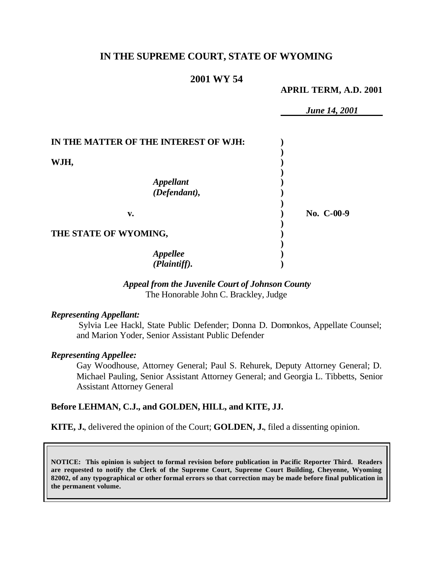# **IN THE SUPREME COURT, STATE OF WYOMING**

### **2001 WY 54**

**APRIL TERM, A.D. 2001**

*June 14, 2001*

| IN THE MATTER OF THE INTEREST OF WJH: |            |
|---------------------------------------|------------|
| WJH,                                  |            |
| <b>Appellant</b><br>(Defendant),      |            |
| v.                                    | No. C-00-9 |
| THE STATE OF WYOMING,                 |            |
| Appellee<br>(Plaintiff).              |            |

#### *Appeal from the Juvenile Court of Johnson County* The Honorable John C. Brackley, Judge

#### *Representing Appellant:*

Sylvia Lee Hackl, State Public Defender; Donna D. Domonkos, Appellate Counsel; and Marion Yoder, Senior Assistant Public Defender

#### *Representing Appellee:*

Gay Woodhouse, Attorney General; Paul S. Rehurek, Deputy Attorney General; D. Michael Pauling, Senior Assistant Attorney General; and Georgia L. Tibbetts, Senior Assistant Attorney General

#### **Before LEHMAN, C.J., and GOLDEN, HILL, and KITE, JJ.**

**KITE, J.**, delivered the opinion of the Court; **GOLDEN, J.**, filed a dissenting opinion.

**NOTICE: This opinion is subject to formal revision before publication in Pacific Reporter Third. Readers are requested to notify the Clerk of the Supreme Court, Supreme Court Building, Cheyenne, Wyoming 82002, of any typographical or other formal errors so that correction may be made before final publication in the permanent volume.**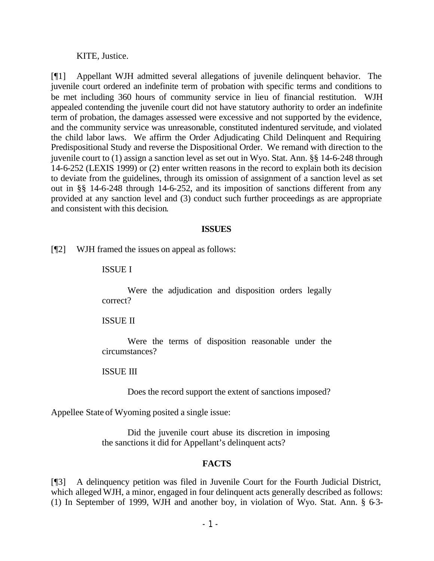KITE, Justice.

[¶1] Appellant WJH admitted several allegations of juvenile delinquent behavior. The juvenile court ordered an indefinite term of probation with specific terms and conditions to be met including 360 hours of community service in lieu of financial restitution. WJH appealed contending the juvenile court did not have statutory authority to order an indefinite term of probation, the damages assessed were excessive and not supported by the evidence, and the community service was unreasonable, constituted indentured servitude, and violated the child labor laws. We affirm the Order Adjudicating Child Delinquent and Requiring Predispositional Study and reverse the Dispositional Order. We remand with direction to the juvenile court to (1) assign a sanction level as set out in Wyo. Stat. Ann. §§ 14-6-248 through 14-6-252 (LEXIS 1999) or (2) enter written reasons in the record to explain both its decision to deviate from the guidelines, through its omission of assignment of a sanction level as set out in §§ 14-6-248 through 14-6-252, and its imposition of sanctions different from any provided at any sanction level and (3) conduct such further proceedings as are appropriate and consistent with this decision.

#### **ISSUES**

[¶2] WJH framed the issues on appeal as follows:

### ISSUE I

Were the adjudication and disposition orders legally correct?

### ISSUE II

Were the terms of disposition reasonable under the circumstances?

ISSUE III

Does the record support the extent of sanctions imposed?

Appellee State of Wyoming posited a single issue:

Did the juvenile court abuse its discretion in imposing the sanctions it did for Appellant's delinquent acts?

## **FACTS**

[¶3] A delinquency petition was filed in Juvenile Court for the Fourth Judicial District, which alleged WJH, a minor, engaged in four delinquent acts generally described as follows: (1) In September of 1999, WJH and another boy, in violation of Wyo. Stat. Ann. § 6-3-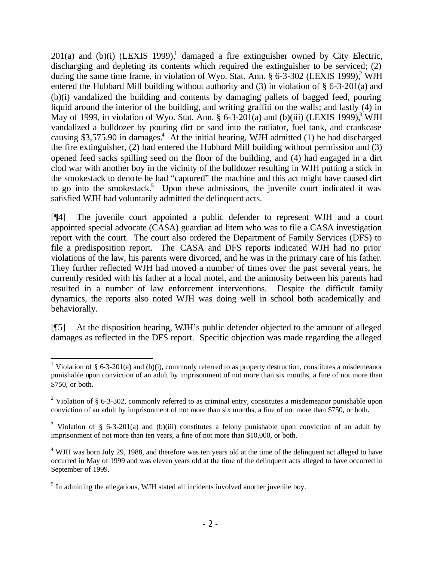$201(a)$  and (b)(i) (LEXIS 1999),<sup>1</sup> damaged a fire extinguisher owned by City Electric, discharging and depleting its contents which required the extinguisher to be serviced; (2) during the same time frame, in violation of Wyo. Stat. Ann.  $\S$  6-3-302 (LEXIS 1999),<sup>2</sup> WJH entered the Hubbard Mill building without authority and (3) in violation of § 6-3-201(a) and (b)(i) vandalized the building and contents by damaging pallets of bagged feed, pouring liquid around the interior of the building, and writing graffiti on the walls; and lastly (4) in May of 1999, in violation of Wyo. Stat. Ann.  $\S 6-3-201(a)$  and (b)(iii) (LEXIS 1999),<sup>3</sup> WJH vandalized a bulldozer by pouring dirt or sand into the radiator, fuel tank, and crankcase causing \$3,575.90 in damages.<sup>4</sup> At the initial hearing, WJH admitted  $(1)$  he had discharged the fire extinguisher, (2) had entered the Hubbard Mill building without permission and (3) opened feed sacks spilling seed on the floor of the building, and (4) had engaged in a dirt clod war with another boy in the vicinity of the bulldozer resulting in WJH putting a stick in the smokestack to denote he had "captured" the machine and this act might have caused dirt to go into the smokestack.<sup>5</sup> Upon these admissions, the juvenile court indicated it was satisfied WJH had voluntarily admitted the delinquent acts.

[¶4] The juvenile court appointed a public defender to represent WJH and a court appointed special advocate (CASA) guardian ad litem who was to file a CASA investigation report with the court. The court also ordered the Department of Family Services (DFS) to file a predisposition report. The CASA and DFS reports indicated WJH had no prior violations of the law, his parents were divorced, and he was in the primary care of his father. They further reflected WJH had moved a number of times over the past several years, he currently resided with his father at a local motel, and the animosity between his parents had resulted in a number of law enforcement interventions. Despite the difficult family dynamics, the reports also noted WJH was doing well in school both academically and behaviorally.

[¶5] At the disposition hearing, WJH's public defender objected to the amount of alleged damages as reflected in the DFS report. Specific objection was made regarding the alleged

l <sup>1</sup> Violation of § 6-3-201(a) and (b)(i), commonly referred to as property destruction, constitutes a misdemeanor punishable upon conviction of an adult by imprisonment of not more than six months, a fine of not more than \$750, or both.

<sup>&</sup>lt;sup>2</sup> Violation of § 6-3-302, commonly referred to as criminal entry, constitutes a misdemeanor punishable upon conviction of an adult by imprisonment of not more than six months, a fine of not more than \$750, or both.

<sup>&</sup>lt;sup>3</sup> Violation of § 6-3-201(a) and (b)(iii) constitutes a felony punishable upon conviction of an adult by imprisonment of not more than ten years, a fine of not more than \$10,000, or both.

 $4$  WJH was born July 29, 1988, and therefore was ten years old at the time of the delinquent act alleged to have occurred in May of 1999 and was eleven years old at the time of the delinquent acts alleged to have occurred in September of 1999.

<sup>&</sup>lt;sup>5</sup> In admitting the allegations, WJH stated all incidents involved another juvenile boy.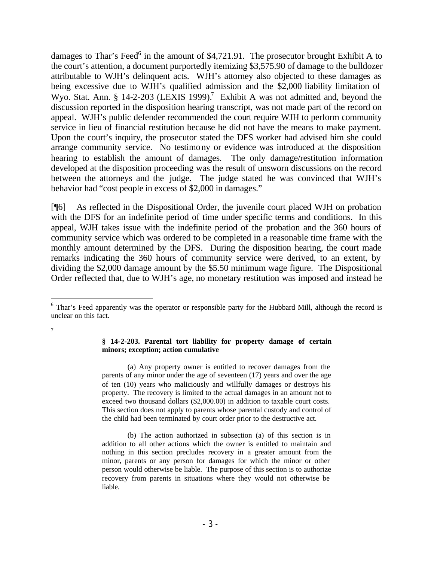damages to Thar's Feed<sup>6</sup> in the amount of \$4,721.91. The prosecutor brought Exhibit A to the court's attention, a document purportedly itemizing \$3,575.90 of damage to the bulldozer attributable to WJH's delinquent acts. WJH's attorney also objected to these damages as being excessive due to WJH's qualified admission and the \$2,000 liability limitation of Wyo. Stat. Ann. § 14-2-203 (LEXIS 1999).<sup>7</sup> Exhibit A was not admitted and, beyond the discussion reported in the disposition hearing transcript, was not made part of the record on appeal. WJH's public defender recommended the court require WJH to perform community service in lieu of financial restitution because he did not have the means to make payment. Upon the court's inquiry, the prosecutor stated the DFS worker had advised him she could arrange community service. No testimony or evidence was introduced at the disposition hearing to establish the amount of damages. The only damage/restitution information developed at the disposition proceeding was the result of unsworn discussions on the record between the attorneys and the judge. The judge stated he was convinced that WJH's behavior had "cost people in excess of \$2,000 in damages."

[¶6] As reflected in the Dispositional Order, the juvenile court placed WJH on probation with the DFS for an indefinite period of time under specific terms and conditions. In this appeal, WJH takes issue with the indefinite period of the probation and the 360 hours of community service which was ordered to be completed in a reasonable time frame with the monthly amount determined by the DFS. During the disposition hearing, the court made remarks indicating the 360 hours of community service were derived, to an extent, by dividing the \$2,000 damage amount by the \$5.50 minimum wage figure. The Dispositional Order reflected that, due to WJH's age, no monetary restitution was imposed and instead he

l

7

**§ 14-2-203. Parental tort liability for property damage of certain minors; exception; action cumulative**

(a) Any property owner is entitled to recover damages from the parents of any minor under the age of seventeen (17) years and over the age of ten (10) years who maliciously and willfully damages or destroys his property. The recovery is limited to the actual damages in an amount not to exceed two thousand dollars (\$2,000.00) in addition to taxable court costs. This section does not apply to parents whose parental custody and control of the child had been terminated by court order prior to the destructive act.

- 3 -

<sup>&</sup>lt;sup>6</sup> Thar's Feed apparently was the operator or responsible party for the Hubbard Mill, although the record is unclear on this fact.

<sup>(</sup>b) The action authorized in subsection (a) of this section is in addition to all other actions which the owner is entitled to maintain and nothing in this section precludes recovery in a greater amount from the minor, parents or any person for damages for which the minor or other person would otherwise be liable. The purpose of this section is to authorize recovery from parents in situations where they would not otherwise be liable.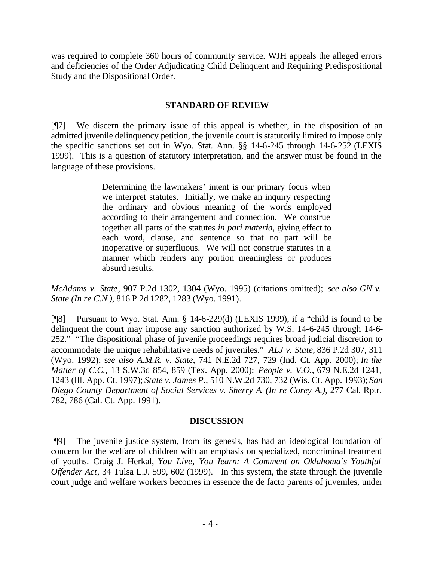was required to complete 360 hours of community service. WJH appeals the alleged errors and deficiencies of the Order Adjudicating Child Delinquent and Requiring Predispositional Study and the Dispositional Order.

### **STANDARD OF REVIEW**

[¶7] We discern the primary issue of this appeal is whether, in the disposition of an admitted juvenile delinquency petition, the juvenile court is statutorily limited to impose only the specific sanctions set out in Wyo. Stat. Ann. §§ 14-6-245 through 14-6-252 (LEXIS 1999). This is a question of statutory interpretation, and the answer must be found in the language of these provisions.

> Determining the lawmakers' intent is our primary focus when we interpret statutes. Initially, we make an inquiry respecting the ordinary and obvious meaning of the words employed according to their arrangement and connection. We construe together all parts of the statutes *in pari materia*, giving effect to each word, clause, and sentence so that no part will be inoperative or superfluous. We will not construe statutes in a manner which renders any portion meaningless or produces absurd results.

*McAdams v. State*, 907 P.2d 1302, 1304 (Wyo. 1995) (citations omitted); *see also GN v. State (In re C.N.)*, 816 P.2d 1282, 1283 (Wyo. 1991).

[¶8] Pursuant to Wyo. Stat. Ann. § 14-6-229(d) (LEXIS 1999), if a "child is found to be delinquent the court may impose any sanction authorized by W.S. 14-6-245 through 14-6- 252." "The dispositional phase of juvenile proceedings requires broad judicial discretion to accommodate the unique rehabilitative needs of juveniles." *ALJ v. State,* 836 P.2d 307, 311 (Wyo. 1992); s*ee also A.M.R. v. State*, 741 N.E.2d 727, 729 (Ind. Ct. App. 2000); *In the Matter of C.C.*, 13 S.W.3d 854, 859 (Tex. App. 2000); *People v. V.O.*, 679 N.E.2d 1241, 1243 (Ill. App. Ct. 1997); *State v. James P*., 510 N.W.2d 730, 732 (Wis. Ct. App. 1993); *San Diego County Department of Social Services v. Sherry A*. *(In re Corey A.)*, 277 Cal. Rptr. 782, 786 (Cal. Ct. App. 1991).

### **DISCUSSION**

[¶9] The juvenile justice system, from its genesis, has had an ideological foundation of concern for the welfare of children with an emphasis on specialized, noncriminal treatment of youths. Craig J. Herkal, *You Live, You Learn: A Comment on Oklahoma's Youthful Offender Act*, 34 Tulsa L.J. 599, 602 (1999). In this system, the state through the juvenile court judge and welfare workers becomes in essence the de facto parents of juveniles, under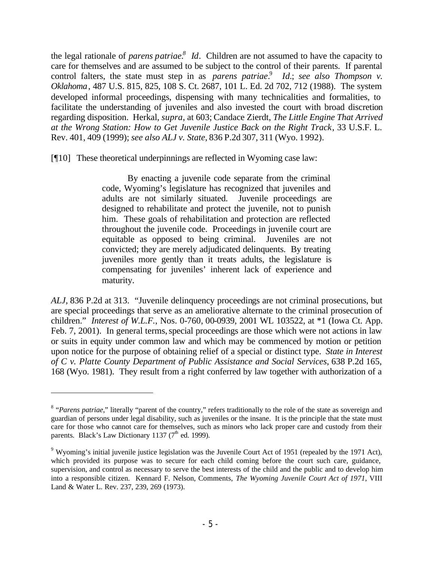the legal rationale of *parens patriae.<sup>8</sup> Id*. Children are not assumed to have the capacity to care for themselves and are assumed to be subject to the control of their parents. If parental control falters, the state must step in as *parens patriae*.<sup>9</sup> *Id.*; *see also Thompson v. Oklahoma*, 487 U.S. 815, 825, 108 S. Ct. 2687, 101 L. Ed. 2d 702, 712 (1988). The system developed informal proceedings, dispensing with many technicalities and formalities, to facilitate the understanding of juveniles and also invested the court with broad discretion regarding disposition. Herkal, *supra*, at 603; Candace Zierdt, *The Little Engine That Arrived at the Wrong Station: How to Get Juvenile Justice Back on the Right Track*, 33 U.S.F. L. Rev. 401, 409 (1999); *see also ALJ v. State*, 836 P.2d 307, 311 (Wyo. 1992).

[¶10] These theoretical underpinnings are reflected in Wyoming case law:

By enacting a juvenile code separate from the criminal code, Wyoming's legislature has recognized that juveniles and adults are not similarly situated. Juvenile proceedings are designed to rehabilitate and protect the juvenile, not to punish him. These goals of rehabilitation and protection are reflected throughout the juvenile code. Proceedings in juvenile court are equitable as opposed to being criminal. Juveniles are not convicted; they are merely adjudicated delinquents. By treating juveniles more gently than it treats adults, the legislature is compensating for juveniles' inherent lack of experience and maturity.

*ALJ,* 836 P.2d at 313. "Juvenile delinquency proceedings are not criminal prosecutions, but are special proceedings that serve as an ameliorative alternate to the criminal prosecution of children." *Interest of W.L.F.*, Nos. 0-760, 00-0939, 2001 WL 103522, at \*1 (Iowa Ct. App. Feb. 7, 2001). In general terms, special proceedings are those which were not actions in law or suits in equity under common law and which may be commenced by motion or petition upon notice for the purpose of obtaining relief of a special or distinct type. *State in Interest of C v. Platte County Department of Public Assistance and Social Services*, 638 P.2d 165, 168 (Wyo. 1981). They result from a right conferred by law together with authorization of a

<sup>&</sup>lt;sup>8</sup> "*Parens patriae*," literally "parent of the country," refers traditionally to the role of the state as sovereign and guardian of persons under legal disability, such as juveniles or the insane. It is the principle that the state must care for those who cannot care for themselves, such as minors who lack proper care and custody from their parents. Black's Law Dictionary 1137 ( $7<sup>th</sup>$  ed. 1999).

<sup>&</sup>lt;sup>9</sup> Wyoming's initial juvenile justice legislation was the Juvenile Court Act of 1951 (repealed by the 1971 Act), which provided its purpose was to secure for each child coming before the court such care, guidance, supervision, and control as necessary to serve the best interests of the child and the public and to develop him into a responsible citizen. Kennard F. Nelson, Comments, *The Wyoming Juvenile Court Act of 1971*, VIII Land & Water L. Rev. 237, 239, 269 (1973).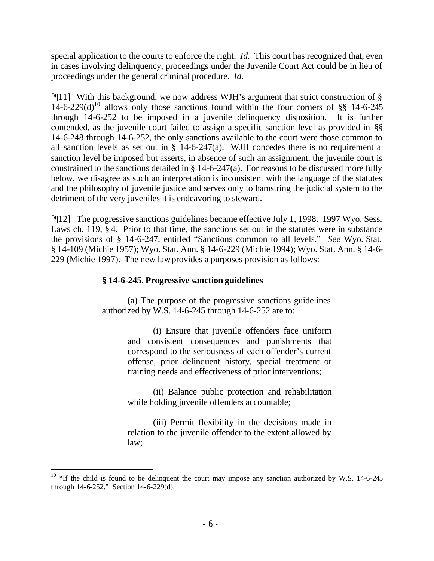special application to the courts to enforce the right. *Id.* This court has recognized that, even in cases involving delinquency, proceedings under the Juvenile Court Act could be in lieu of proceedings under the general criminal procedure. *Id.*

[ $[$ [11] With this background, we now address WJH's argument that strict construction of  $\S$  $14-6-229(d)^{10}$  allows only those sanctions found within the four corners of §§ 14-6-245 through 14-6-252 to be imposed in a juvenile delinquency disposition. It is further contended, as the juvenile court failed to assign a specific sanction level as provided in §§ 14-6-248 through 14-6-252, the only sanctions available to the court were those common to all sanction levels as set out in  $\S$  14-6-247(a). WJH concedes there is no requirement a sanction level be imposed but asserts, in absence of such an assignment, the juvenile court is constrained to the sanctions detailed in § 14-6-247(a). For reasons to be discussed more fully below, we disagree as such an interpretation is inconsistent with the language of the statutes and the philosophy of juvenile justice and serves only to hamstring the judicial system to the detriment of the very juveniles it is endeavoring to steward.

[¶12] The progressive sanctions guidelines became effective July 1, 1998. 1997 Wyo. Sess. Laws ch. 119, § 4. Prior to that time, the sanctions set out in the statutes were in substance the provisions of § 14-6-247, entitled "Sanctions common to all levels." *See* Wyo. Stat. § 14-109 (Michie 1957); Wyo. Stat. Ann. § 14-6-229 (Michie 1994); Wyo. Stat. Ann. § 14-6- 229 (Michie 1997). The new law provides a purposes provision as follows:

## **§ 14-6-245. Progressive sanction guidelines**

(a) The purpose of the progressive sanctions guidelines authorized by W.S. 14-6-245 through 14-6-252 are to:

> (i) Ensure that juvenile offenders face uniform and consistent consequences and punishments that correspond to the seriousness of each offender's current offense, prior delinquent history, special treatment or training needs and effectiveness of prior interventions;

> (ii) Balance public protection and rehabilitation while holding juvenile offenders accountable;

> (iii) Permit flexibility in the decisions made in relation to the juvenile offender to the extent allowed by law;

<sup>&</sup>lt;sup>10</sup> "If the child is found to be delinquent the court may impose any sanction authorized by W.S. 14-6-245 through 14-6-252." Section 14-6-229(d).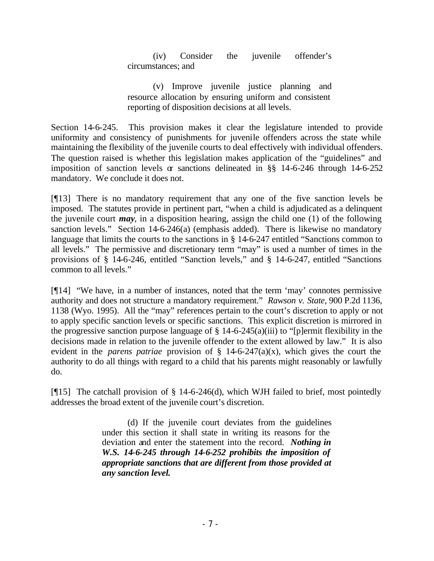(iv) Consider the juvenile offender's circumstances; and

(v) Improve juvenile justice planning and resource allocation by ensuring uniform and consistent reporting of disposition decisions at all levels.

Section 14-6-245. This provision makes it clear the legislature intended to provide uniformity and consistency of punishments for juvenile offenders across the state while maintaining the flexibility of the juvenile courts to deal effectively with individual offenders. The question raised is whether this legislation makes application of the "guidelines" and imposition of sanction levels  $\alpha$  sanctions delineated in §§ 14-6-246 through 14-6-252 mandatory. We conclude it does not.

[¶13] There is no mandatory requirement that any one of the five sanction levels be imposed. The statutes provide in pertinent part, "when a child is adjudicated as a delinquent the juvenile court *may*, in a disposition hearing, assign the child one (1) of the following sanction levels." Section 14-6-246(a) (emphasis added). There is likewise no mandatory language that limits the courts to the sanctions in § 14-6-247 entitled "Sanctions common to all levels." The permissive and discretionary term "may" is used a number of times in the provisions of § 14-6-246, entitled "Sanction levels," and § 14-6-247, entitled "Sanctions common to all levels."

[¶14] "We have, in a number of instances, noted that the term 'may' connotes permissive authority and does not structure a mandatory requirement." *Rawson v. State*, 900 P.2d 1136, 1138 (Wyo. 1995). All the "may" references pertain to the court's discretion to apply or not to apply specific sanction levels or specific sanctions. This explicit discretion is mirrored in the progressive sanction purpose language of  $\S$  14-6-245(a)(iii) to "[p]ermit flexibility in the decisions made in relation to the juvenile offender to the extent allowed by law." It is also evident in the *parens patriae* provision of § 14-6-247(a)(x), which gives the court the authority to do all things with regard to a child that his parents might reasonably or lawfully do.

[¶15] The catchall provision of § 14-6-246(d), which WJH failed to brief, most pointedly addresses the broad extent of the juvenile court's discretion.

> (d) If the juvenile court deviates from the guidelines under this section it shall state in writing its reasons for the deviation and enter the statement into the record. *Nothing in W.S. 14-6-245 through 14-6-252 prohibits the imposition of appropriate sanctions that are different from those provided at any sanction level.*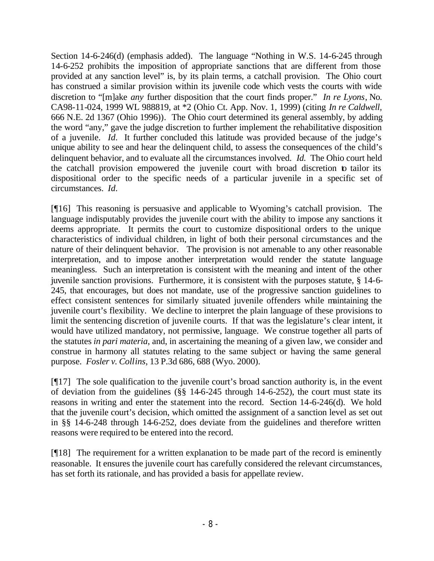Section 14-6-246(d) (emphasis added). The language "Nothing in W.S. 14-6-245 through 14-6-252 prohibits the imposition of appropriate sanctions that are different from those provided at any sanction level" is, by its plain terms, a catchall provision. The Ohio court has construed a similar provision within its juvenile code which vests the courts with wide discretion to "[m]ake *any* further disposition that the court finds proper." *In re Lyons*, No. CA98-11-024, 1999 WL 988819, at \*2 (Ohio Ct. App. Nov. 1, 1999) (citing *In re Caldwell,*  666 N.E. 2d 1367 (Ohio 1996))*.* The Ohio court determined its general assembly, by adding the word "any," gave the judge discretion to further implement the rehabilitative disposition of a juvenile. *Id.* It further concluded this latitude was provided because of the judge's unique ability to see and hear the delinquent child, to assess the consequences of the child's delinquent behavior, and to evaluate all the circumstances involved. *Id.* The Ohio court held the catchall provision empowered the juvenile court with broad discretion to tailor its dispositional order to the specific needs of a particular juvenile in a specific set of circumstances. *Id.*

[¶16] This reasoning is persuasive and applicable to Wyoming's catchall provision. The language indisputably provides the juvenile court with the ability to impose any sanctions it deems appropriate. It permits the court to customize dispositional orders to the unique characteristics of individual children, in light of both their personal circumstances and the nature of their delinquent behavior. The provision is not amenable to any other reasonable interpretation, and to impose another interpretation would render the statute language meaningless. Such an interpretation is consistent with the meaning and intent of the other juvenile sanction provisions. Furthermore, it is consistent with the purposes statute, § 14-6- 245, that encourages, but does not mandate, use of the progressive sanction guidelines to effect consistent sentences for similarly situated juvenile offenders while maintaining the juvenile court's flexibility. We decline to interpret the plain language of these provisions to limit the sentencing discretion of juvenile courts. If that was the legislature's clear intent, it would have utilized mandatory, not permissive, language. We construe together all parts of the statutes *in pari materia*, and, in ascertaining the meaning of a given law, we consider and construe in harmony all statutes relating to the same subject or having the same general purpose. *Fosler v. Collins*, 13 P.3d 686, 688 (Wyo. 2000).

[¶17] The sole qualification to the juvenile court's broad sanction authority is, in the event of deviation from the guidelines (§§ 14-6-245 through 14-6-252), the court must state its reasons in writing and enter the statement into the record. Section 14-6-246(d). We hold that the juvenile court's decision, which omitted the assignment of a sanction level as set out in §§ 14-6-248 through 14-6-252, does deviate from the guidelines and therefore written reasons were required to be entered into the record.

[¶18] The requirement for a written explanation to be made part of the record is eminently reasonable. It ensures the juvenile court has carefully considered the relevant circumstances, has set forth its rationale, and has provided a basis for appellate review.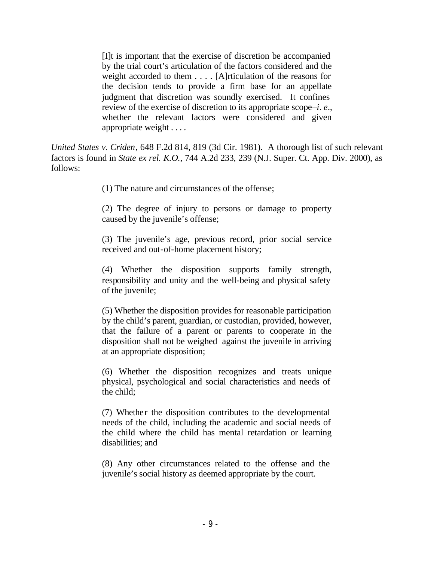[I]t is important that the exercise of discretion be accompanied by the trial court's articulation of the factors considered and the weight accorded to them . . . . [A]rticulation of the reasons for the decision tends to provide a firm base for an appellate judgment that discretion was soundly exercised. It confines review of the exercise of discretion to its appropriate scope–*i. e.*, whether the relevant factors were considered and given appropriate weight . . . .

*United States v. Criden*, 648 F.2d 814, 819 (3d Cir. 1981). A thorough list of such relevant factors is found in *State ex rel. K.O.*, 744 A.2d 233, 239 (N.J. Super. Ct. App. Div. 2000), as follows:

(1) The nature and circumstances of the offense;

(2) The degree of injury to persons or damage to property caused by the juvenile's offense;

(3) The juvenile's age, previous record, prior social service received and out-of-home placement history;

(4) Whether the disposition supports family strength, responsibility and unity and the well-being and physical safety of the juvenile;

(5) Whether the disposition provides for reasonable participation by the child's parent, guardian, or custodian, provided, however, that the failure of a parent or parents to cooperate in the disposition shall not be weighed against the juvenile in arriving at an appropriate disposition;

(6) Whether the disposition recognizes and treats unique physical, psychological and social characteristics and needs of the child;

(7) Whether the disposition contributes to the developmental needs of the child, including the academic and social needs of the child where the child has mental retardation or learning disabilities; and

(8) Any other circumstances related to the offense and the juvenile's social history as deemed appropriate by the court.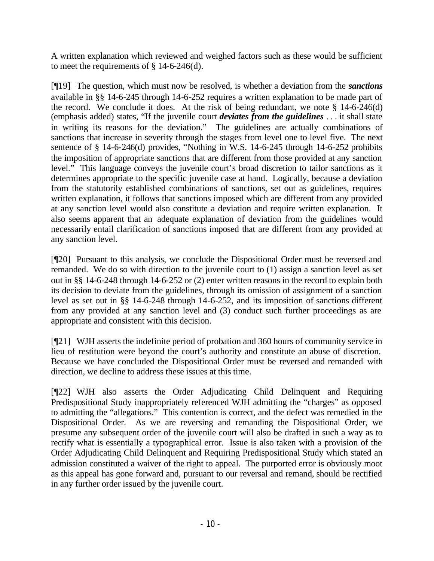A written explanation which reviewed and weighed factors such as these would be sufficient to meet the requirements of  $\S$  14-6-246(d).

[¶19] The question, which must now be resolved, is whether a deviation from the *sanctions* available in §§ 14-6-245 through 14-6-252 requires a written explanation to be made part of the record. We conclude it does. At the risk of being redundant, we note  $\S$  14-6-246(d) (emphasis added) states, "If the juvenile court *deviates from the guidelines* . . . it shall state in writing its reasons for the deviation." The guidelines are actually combinations of sanctions that increase in severity through the stages from level one to level five. The next sentence of § 14-6-246(d) provides, "Nothing in W.S. 14-6-245 through 14-6-252 prohibits the imposition of appropriate sanctions that are different from those provided at any sanction level." This language conveys the juvenile court's broad discretion to tailor sanctions as it determines appropriate to the specific juvenile case at hand. Logically, because a deviation from the statutorily established combinations of sanctions, set out as guidelines, requires written explanation, it follows that sanctions imposed which are different from any provided at any sanction level would also constitute a deviation and require written explanation. It also seems apparent that an adequate explanation of deviation from the guidelines would necessarily entail clarification of sanctions imposed that are different from any provided at any sanction level.

[¶20] Pursuant to this analysis, we conclude the Dispositional Order must be reversed and remanded. We do so with direction to the juvenile court to (1) assign a sanction level as set out in §§ 14-6-248 through 14-6-252 or (2) enter written reasons in the record to explain both its decision to deviate from the guidelines, through its omission of assignment of a sanction level as set out in §§ 14-6-248 through 14-6-252, and its imposition of sanctions different from any provided at any sanction level and (3) conduct such further proceedings as are appropriate and consistent with this decision.

[¶21] WJH asserts the indefinite period of probation and 360 hours of community service in lieu of restitution were beyond the court's authority and constitute an abuse of discretion. Because we have concluded the Dispositional Order must be reversed and remanded with direction, we decline to address these issues at this time.

[¶22] WJH also asserts the Order Adjudicating Child Delinquent and Requiring Predispositional Study inappropriately referenced WJH admitting the "charges" as opposed to admitting the "allegations." This contention is correct, and the defect was remedied in the Dispositional Order. As we are reversing and remanding the Dispositional Order, we presume any subsequent order of the juvenile court will also be drafted in such a way as to rectify what is essentially a typographical error. Issue is also taken with a provision of the Order Adjudicating Child Delinquent and Requiring Predispositional Study which stated an admission constituted a waiver of the right to appeal. The purported error is obviously moot as this appeal has gone forward and, pursuant to our reversal and remand, should be rectified in any further order issued by the juvenile court.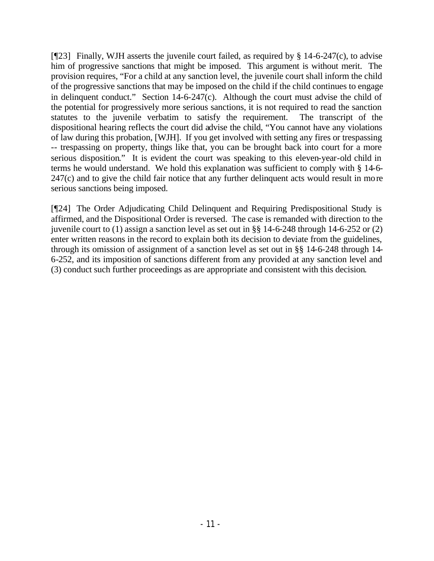[ $[$ 23] Finally, WJH asserts the juvenile court failed, as required by § 14-6-247(c), to advise him of progressive sanctions that might be imposed. This argument is without merit. The provision requires, "For a child at any sanction level, the juvenile court shall inform the child of the progressive sanctions that may be imposed on the child if the child continues to engage in delinquent conduct." Section 14-6-247(c). Although the court must advise the child of the potential for progressively more serious sanctions, it is not required to read the sanction statutes to the juvenile verbatim to satisfy the requirement. The transcript of the dispositional hearing reflects the court did advise the child, "You cannot have any violations of law during this probation, [WJH]. If you get involved with setting any fires or trespassing -- trespassing on property, things like that, you can be brought back into court for a more serious disposition." It is evident the court was speaking to this eleven-year-old child in terms he would understand. We hold this explanation was sufficient to comply with § 14-6- 247(c) and to give the child fair notice that any further delinquent acts would result in more serious sanctions being imposed.

[¶24] The Order Adjudicating Child Delinquent and Requiring Predispositional Study is affirmed, and the Dispositional Order is reversed. The case is remanded with direction to the juvenile court to (1) assign a sanction level as set out in §§ 14-6-248 through 14-6-252 or (2) enter written reasons in the record to explain both its decision to deviate from the guidelines, through its omission of assignment of a sanction level as set out in §§ 14-6-248 through 14- 6-252, and its imposition of sanctions different from any provided at any sanction level and (3) conduct such further proceedings as are appropriate and consistent with this decision.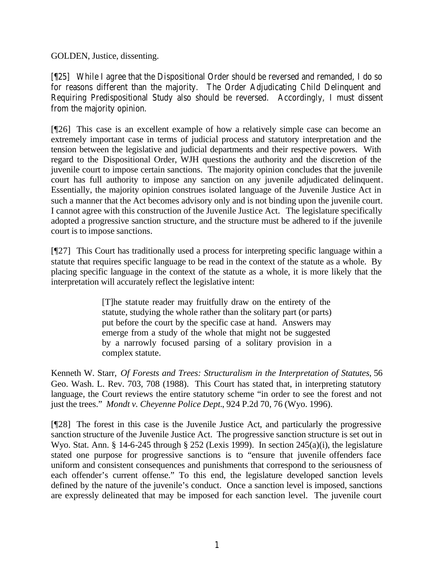GOLDEN, Justice, dissenting.

[¶25] While I agree that the Dispositional Order should be reversed and remanded, I do so for reasons different than the majority. The Order Adjudicating Child Delinquent and Requiring Predispositional Study also should be reversed. Accordingly, I must dissent from the majority opinion.

[¶26] This case is an excellent example of how a relatively simple case can become an extremely important case in terms of judicial process and statutory interpretation and the tension between the legislative and judicial departments and their respective powers. With regard to the Dispositional Order, WJH questions the authority and the discretion of the juvenile court to impose certain sanctions. The majority opinion concludes that the juvenile court has full authority to impose any sanction on any juvenile adjudicated delinquent. Essentially, the majority opinion construes isolated language of the Juvenile Justice Act in such a manner that the Act becomes advisory only and is not binding upon the juvenile court. I cannot agree with this construction of the Juvenile Justice Act. The legislature specifically adopted a progressive sanction structure, and the structure must be adhered to if the juvenile court is to impose sanctions.

[¶27] This Court has traditionally used a process for interpreting specific language within a statute that requires specific language to be read in the context of the statute as a whole. By placing specific language in the context of the statute as a whole, it is more likely that the interpretation will accurately reflect the legislative intent:

> [T]he statute reader may fruitfully draw on the entirety of the statute, studying the whole rather than the solitary part (or parts) put before the court by the specific case at hand. Answers may emerge from a study of the whole that might not be suggested by a narrowly focused parsing of a solitary provision in a complex statute.

Kenneth W. Starr, *Of Forests and Trees: Structuralism in the Interpretation of Statutes*, 56 Geo. Wash. L. Rev. 703, 708 (1988). This Court has stated that, in interpreting statutory language, the Court reviews the entire statutory scheme "in order to see the forest and not just the trees." *Mondt v. Cheyenne Police Dept.*, 924 P.2d 70, 76 (Wyo. 1996).

[¶28] The forest in this case is the Juvenile Justice Act, and particularly the progressive sanction structure of the Juvenile Justice Act. The progressive sanction structure is set out in Wyo. Stat. Ann. § 14-6-245 through § 252 (Lexis 1999). In section 245(a)(i), the legislature stated one purpose for progressive sanctions is to "ensure that juvenile offenders face uniform and consistent consequences and punishments that correspond to the seriousness of each offender's current offense." To this end, the legislature developed sanction levels defined by the nature of the juvenile's conduct. Once a sanction level is imposed, sanctions are expressly delineated that may be imposed for each sanction level. The juvenile court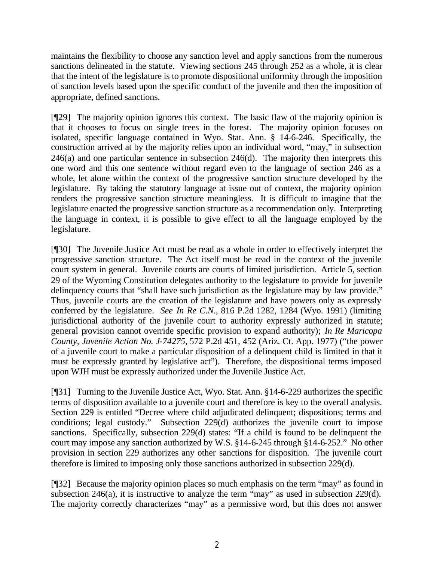maintains the flexibility to choose any sanction level and apply sanctions from the numerous sanctions delineated in the statute. Viewing sections 245 through 252 as a whole, it is clear that the intent of the legislature is to promote dispositional uniformity through the imposition of sanction levels based upon the specific conduct of the juvenile and then the imposition of appropriate, defined sanctions.

[¶29] The majority opinion ignores this context. The basic flaw of the majority opinion is that it chooses to focus on single trees in the forest. The majority opinion focuses on isolated, specific language contained in Wyo. Stat. Ann. § 14-6-246. Specifically, the construction arrived at by the majority relies upon an individual word, "may," in subsection  $246(a)$  and one particular sentence in subsection  $246(d)$ . The majority then interprets this one word and this one sentence without regard even to the language of section 246 as a whole, let alone within the context of the progressive sanction structure developed by the legislature. By taking the statutory language at issue out of context, the majority opinion renders the progressive sanction structure meaningless. It is difficult to imagine that the legislature enacted the progressive sanction structure as a recommendation only. Interpreting the language in context, it is possible to give effect to all the language employed by the legislature.

[¶30] The Juvenile Justice Act must be read as a whole in order to effectively interpret the progressive sanction structure. The Act itself must be read in the context of the juvenile court system in general. Juvenile courts are courts of limited jurisdiction. Article 5, section 29 of the Wyoming Constitution delegates authority to the legislature to provide for juvenile delinquency courts that "shall have such jurisdiction as the legislature may by law provide." Thus, juvenile courts are the creation of the legislature and have powers only as expressly conferred by the legislature. *See In Re C.N*., 816 P.2d 1282, 1284 (Wyo. 1991) (limiting jurisdictional authority of the juvenile court to authority expressly authorized in statute; general provision cannot override specific provision to expand authority); *In Re Maricopa County, Juvenile Action No. J-74275,* 572 P.2d 451, 452 (Ariz. Ct. App. 1977) ("the power of a juvenile court to make a particular disposition of a delinquent child is limited in that it must be expressly granted by legislative act"). Therefore, the dispositional terms imposed upon WJH must be expressly authorized under the Juvenile Justice Act.

[¶31] Turning to the Juvenile Justice Act, Wyo. Stat. Ann. §14-6-229 authorizes the specific terms of disposition available to a juvenile court and therefore is key to the overall analysis. Section 229 is entitled "Decree where child adjudicated delinquent; dispositions; terms and conditions; legal custody." Subsection 229(d) authorizes the juvenile court to impose sanctions. Specifically, subsection 229(d) states: "If a child is found to be delinquent the court may impose any sanction authorized by W.S. §14-6-245 through §14-6-252." No other provision in section 229 authorizes any other sanctions for disposition. The juvenile court therefore is limited to imposing only those sanctions authorized in subsection 229(d).

[¶32] Because the majority opinion places so much emphasis on the term "may" as found in subsection 246(a), it is instructive to analyze the term "may" as used in subsection 229(d). The majority correctly characterizes "may" as a permissive word, but this does not answer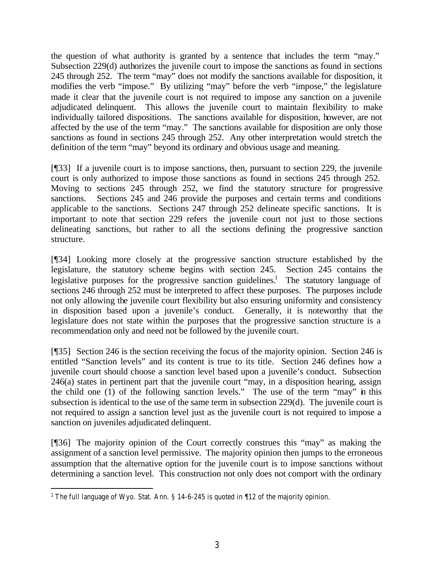the question of what authority is granted by a sentence that includes the term "may." Subsection 229(d) authorizes the juvenile court to impose the sanctions as found in sections 245 through 252. The term "may" does not modify the sanctions available for disposition, it modifies the verb "impose." By utilizing "may" before the verb "impose," the legislature made it clear that the juvenile court is not required to impose any sanction on a juvenile adjudicated delinquent. This allows the juvenile court to maintain flexibility to make individually tailored dispositions. The sanctions available for disposition, however, are not affected by the use of the term "may." The sanctions available for disposition are only those sanctions as found in sections 245 through 252. Any other interpretation would stretch the definition of the term "may" beyond its ordinary and obvious usage and meaning.

[¶33] If a juvenile court is to impose sanctions, then, pursuant to section 229, the juvenile court is only authorized to impose those sanctions as found in sections 245 through 252. Moving to sections 245 through 252, we find the statutory structure for progressive sanctions. Sections 245 and 246 provide the purposes and certain terms and conditions applicable to the sanctions. Sections 247 through 252 delineate specific sanctions. It is important to note that section 229 refers the juvenile court not just to those sections delineating sanctions, but rather to all the sections defining the progressive sanction structure.

[¶34] Looking more closely at the progressive sanction structure established by the legislature, the statutory scheme begins with section 245. Section 245 contains the legislative purposes for the progressive sanction guidelines.<sup>1</sup> The statutory language of sections 246 through 252 must be interpreted to affect these purposes. The purposes include not only allowing the juvenile court flexibility but also ensuring uniformity and consistency in disposition based upon a juvenile's conduct. Generally, it is noteworthy that the legislature does not state within the purposes that the progressive sanction structure is a recommendation only and need not be followed by the juvenile court.

[¶35] Section 246 is the section receiving the focus of the majority opinion. Section 246 is entitled "Sanction levels" and its content is true to its title. Section 246 defines how a juvenile court should choose a sanction level based upon a juvenile's conduct. Subsection 246(a) states in pertinent part that the juvenile court "may, in a disposition hearing, assign the child one (1) of the following sanction levels." The use of the term "may" in this subsection is identical to the use of the same term in subsection 229(d). The juvenile court is not required to assign a sanction level just as the juvenile court is not required to impose a sanction on juveniles adjudicated delinquent.

[¶36] The majority opinion of the Court correctly construes this "may" as making the assignment of a sanction level permissive. The majority opinion then jumps to the erroneous assumption that the alternative option for the juvenile court is to impose sanctions without determining a sanction level. This construction not only does not comport with the ordinary

l <sup>1</sup> The full language of Wyo. Stat. Ann. § 14-6-245 is quoted in  $\P$ 12 of the majority opinion.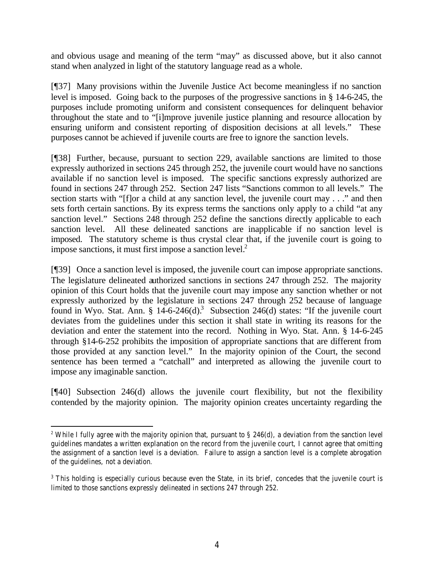and obvious usage and meaning of the term "may" as discussed above, but it also cannot stand when analyzed in light of the statutory language read as a whole.

[¶37] Many provisions within the Juvenile Justice Act become meaningless if no sanction level is imposed. Going back to the purposes of the progressive sanctions in § 14-6-245, the purposes include promoting uniform and consistent consequences for delinquent behavior throughout the state and to "[i]mprove juvenile justice planning and resource allocation by ensuring uniform and consistent reporting of disposition decisions at all levels." These purposes cannot be achieved if juvenile courts are free to ignore the sanction levels.

[¶38] Further, because, pursuant to section 229, available sanctions are limited to those expressly authorized in sections 245 through 252, the juvenile court would have no sanctions available if no sanction level is imposed. The specific sanctions expressly authorized are found in sections 247 through 252. Section 247 lists "Sanctions common to all levels." The section starts with "[f]or a child at any sanction level, the juvenile court may . . ." and then sets forth certain sanctions. By its express terms the sanctions only apply to a child "at any sanction level." Sections 248 through 252 define the sanctions directly applicable to each sanction level. All these delineated sanctions are inapplicable if no sanction level is imposed. The statutory scheme is thus crystal clear that, if the juvenile court is going to impose sanctions, it must first impose a sanction level. $2^2$ 

[¶39] Once a sanction level is imposed, the juvenile court can impose appropriate sanctions. The legislature delineated authorized sanctions in sections 247 through 252. The majority opinion of this Court holds that the juvenile court may impose any sanction whether or not expressly authorized by the legislature in sections 247 through 252 because of language found in Wyo. Stat. Ann. § 14-6-246(d).<sup>3</sup> Subsection 246(d) states: "If the juvenile court deviates from the guidelines under this section it shall state in writing its reasons for the deviation and enter the statement into the record. Nothing in Wyo. Stat. Ann. § 14-6-245 through §14-6-252 prohibits the imposition of appropriate sanctions that are different from those provided at any sanction level." In the majority opinion of the Court, the second sentence has been termed a "catchall" and interpreted as allowing the juvenile court to impose any imaginable sanction.

[¶40] Subsection 246(d) allows the juvenile court flexibility, but not the flexibility contended by the majority opinion. The majority opinion creates uncertainty regarding the

<sup>&</sup>lt;sup>2</sup> While I fully agree with the majority opinion that, pursuant to § 246(d), a deviation from the sanction level guidelines mandates a written explanation on the record from the juvenile court, I cannot agree that omitting the assignment of a sanction level is a deviation. Failure to assign a sanction level is a complete abrogation of the guidelines, not a deviation.

<sup>&</sup>lt;sup>3</sup> This holding is especially curious because even the State, in its brief, concedes that the juvenile court is limited to those sanctions expressly delineated in sections 247 through 252.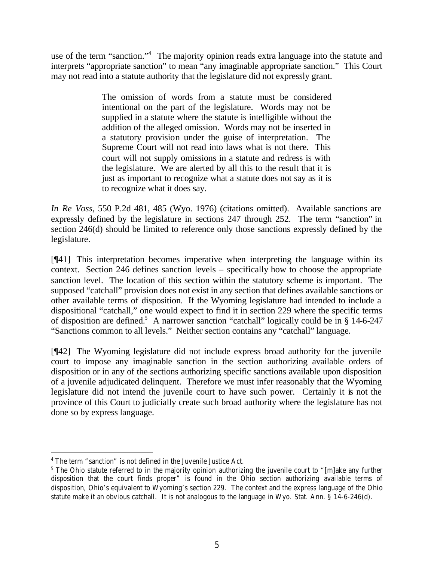use of the term "sanction."<sup>4</sup> The majority opinion reads extra language into the statute and interprets "appropriate sanction" to mean "any imaginable appropriate sanction." This Court may not read into a statute authority that the legislature did not expressly grant.

> The omission of words from a statute must be considered intentional on the part of the legislature. Words may not be supplied in a statute where the statute is intelligible without the addition of the alleged omission. Words may not be inserted in a statutory provision under the guise of interpretation. The Supreme Court will not read into laws what is not there. This court will not supply omissions in a statute and redress is with the legislature. We are alerted by all this to the result that it is just as important to recognize what a statute does not say as it is to recognize what it does say.

*In Re Voss*, 550 P.2d 481, 485 (Wyo. 1976) (citations omitted). Available sanctions are expressly defined by the legislature in sections 247 through 252. The term "sanction" in section 246(d) should be limited to reference only those sanctions expressly defined by the legislature.

[¶41] This interpretation becomes imperative when interpreting the language within its context. Section 246 defines sanction levels – specifically how to choose the appropriate sanction level. The location of this section within the statutory scheme is important. The supposed "catchall" provision does not exist in any section that defines available sanctions or other available terms of disposition. If the Wyoming legislature had intended to include a dispositional "catchall," one would expect to find it in section 229 where the specific terms of disposition are defined.<sup>5</sup> A narrower sanction "catchall" logically could be in § 14-6-247 "Sanctions common to all levels." Neither section contains any "catchall" language.

[¶42] The Wyoming legislature did not include express broad authority for the juvenile court to impose any imaginable sanction in the section authorizing available orders of disposition or in any of the sections authorizing specific sanctions available upon disposition of a juvenile adjudicated delinquent. Therefore we must infer reasonably that the Wyoming legislature did not intend the juvenile court to have such power. Certainly it is not the province of this Court to judicially create such broad authority where the legislature has not done so by express language.

l 4 The term "sanction" is not defined in the Juvenile Justice Act.

<sup>&</sup>lt;sup>5</sup> The Ohio statute referred to in the majority opinion authorizing the juvenile court to "[m]ake any further disposition that the court finds proper" is found in the Ohio section authorizing available terms of disposition, Ohio's equivalent to Wyoming's section 229. The context and the express language of the Ohio statute make it an obvious catchall. It is not analogous to the language in Wyo. Stat. Ann. § 14-6-246(d).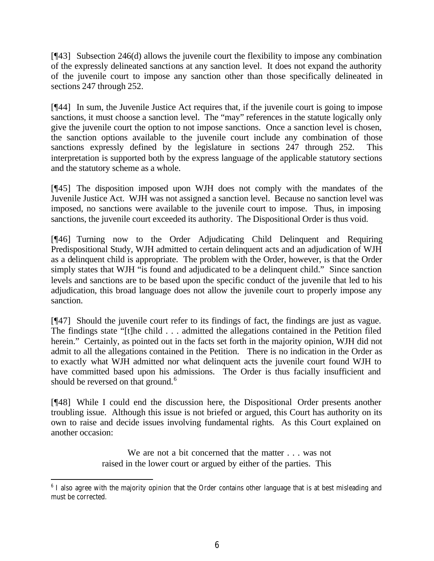[¶43] Subsection 246(d) allows the juvenile court the flexibility to impose any combination of the expressly delineated sanctions at any sanction level. It does not expand the authority of the juvenile court to impose any sanction other than those specifically delineated in sections 247 through 252.

[¶44] In sum, the Juvenile Justice Act requires that, if the juvenile court is going to impose sanctions, it must choose a sanction level. The "may" references in the statute logically only give the juvenile court the option to not impose sanctions. Once a sanction level is chosen, the sanction options available to the juvenile court include any combination of those sanctions expressly defined by the legislature in sections 247 through 252. This interpretation is supported both by the express language of the applicable statutory sections and the statutory scheme as a whole.

[¶45] The disposition imposed upon WJH does not comply with the mandates of the Juvenile Justice Act. WJH was not assigned a sanction level. Because no sanction level was imposed, no sanctions were available to the juvenile court to impose. Thus, in imposing sanctions, the juvenile court exceeded its authority. The Dispositional Order is thus void.

[¶46] Turning now to the Order Adjudicating Child Delinquent and Requiring Predispositional Study, WJH admitted to certain delinquent acts and an adjudication of WJH as a delinquent child is appropriate. The problem with the Order, however, is that the Order simply states that WJH "is found and adjudicated to be a delinquent child." Since sanction levels and sanctions are to be based upon the specific conduct of the juvenile that led to his adjudication, this broad language does not allow the juvenile court to properly impose any sanction.

[¶47] Should the juvenile court refer to its findings of fact, the findings are just as vague. The findings state "[t]he child . . . admitted the allegations contained in the Petition filed herein." Certainly, as pointed out in the facts set forth in the majority opinion, WJH did not admit to all the allegations contained in the Petition. There is no indication in the Order as to exactly what WJH admitted nor what delinquent acts the juvenile court found WJH to have committed based upon his admissions. The Order is thus facially insufficient and should be reversed on that ground.<sup>6</sup>

[¶48] While I could end the discussion here, the Dispositional Order presents another troubling issue. Although this issue is not briefed or argued, this Court has authority on its own to raise and decide issues involving fundamental rights. As this Court explained on another occasion:

> We are not a bit concerned that the matter . . . was not raised in the lower court or argued by either of the parties. This

<sup>&</sup>lt;sup>6</sup> I also agree with the majority opinion that the Order contains other language that is at best misleading and must be corrected.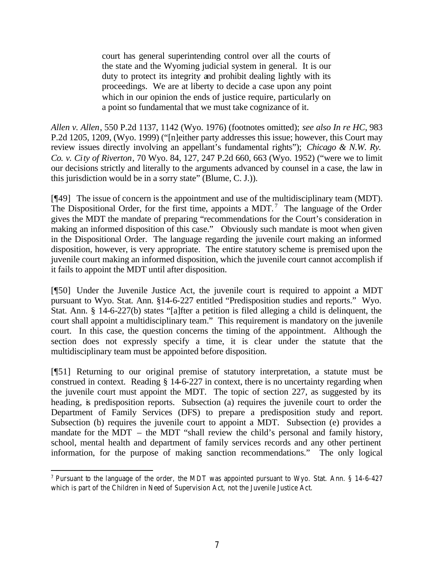court has general superintending control over all the courts of the state and the Wyoming judicial system in general. It is our duty to protect its integrity and prohibit dealing lightly with its proceedings. We are at liberty to decide a case upon any point which in our opinion the ends of justice require, particularly on a point so fundamental that we must take cognizance of it.

*Allen v. Allen*, 550 P.2d 1137, 1142 (Wyo. 1976) (footnotes omitted); *see also In re HC*, 983 P.2d 1205, 1209, (Wyo. 1999) ("[n]either party addresses this issue; however, this Court may review issues directly involving an appellant's fundamental rights"); *Chicago & N.W. Ry. Co. v. City of Riverton*, 70 Wyo. 84, 127, 247 P.2d 660, 663 (Wyo. 1952) ("were we to limit our decisions strictly and literally to the arguments advanced by counsel in a case, the law in this jurisdiction would be in a sorry state" (Blume, C. J.)).

[¶49] The issue of concern is the appointment and use of the multidisciplinary team (MDT). The Dispositional Order, for the first time, appoints a MDT.<sup>7</sup> The language of the Order gives the MDT the mandate of preparing "recommendations for the Court's consideration in making an informed disposition of this case." Obviously such mandate is moot when given in the Dispositional Order. The language regarding the juvenile court making an informed disposition, however, is very appropriate. The entire statutory scheme is premised upon the juvenile court making an informed disposition, which the juvenile court cannot accomplish if it fails to appoint the MDT until after disposition.

[¶50] Under the Juvenile Justice Act, the juvenile court is required to appoint a MDT pursuant to Wyo. Stat. Ann. §14-6-227 entitled "Predisposition studies and reports." Wyo. Stat. Ann. § 14-6-227(b) states "[a]fter a petition is filed alleging a child is delinquent, the court shall appoint a multidisciplinary team." This requirement is mandatory on the juvenile court. In this case, the question concerns the timing of the appointment. Although the section does not expressly specify a time, it is clear under the statute that the multidisciplinary team must be appointed before disposition.

[¶51] Returning to our original premise of statutory interpretation, a statute must be construed in context. Reading § 14-6-227 in context, there is no uncertainty regarding when the juvenile court must appoint the MDT. The topic of section 227, as suggested by its heading, is predisposition reports. Subsection (a) requires the juvenile court to order the Department of Family Services (DFS) to prepare a predisposition study and report. Subsection (b) requires the juvenile court to appoint a MDT. Subsection (e) provides a mandate for the MDT – the MDT "shall review the child's personal and family history, school, mental health and department of family services records and any other pertinent information, for the purpose of making sanction recommendations." The only logical

l <sup>7</sup> Pursuant to the language of the order, the MDT was appointed pursuant to Wyo. Stat. Ann. § 14-6-427 which is part of the Children in Need of Supervision Act, not the Juvenile Justice Act.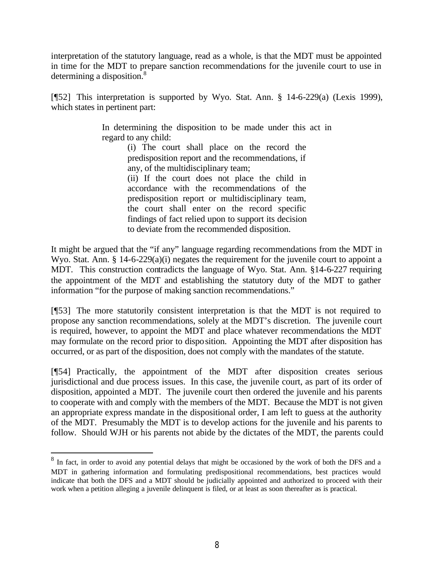interpretation of the statutory language, read as a whole, is that the MDT must be appointed in time for the MDT to prepare sanction recommendations for the juvenile court to use in determining a disposition.<sup>8</sup>

[¶52] This interpretation is supported by Wyo. Stat. Ann. § 14-6-229(a) (Lexis 1999), which states in pertinent part:

> In determining the disposition to be made under this act in regard to any child:

(i) The court shall place on the record the predisposition report and the recommendations, if any, of the multidisciplinary team;

(ii) If the court does not place the child in accordance with the recommendations of the predisposition report or multidisciplinary team, the court shall enter on the record specific findings of fact relied upon to support its decision to deviate from the recommended disposition.

It might be argued that the "if any" language regarding recommendations from the MDT in Wyo. Stat. Ann. § 14-6-229(a)(i) negates the requirement for the juvenile court to appoint a MDT. This construction contradicts the language of Wyo. Stat. Ann. §14-6-227 requiring the appointment of the MDT and establishing the statutory duty of the MDT to gather information "for the purpose of making sanction recommendations."

[¶53] The more statutorily consistent interpretation is that the MDT is not required to propose any sanction recommendations, solely at the MDT's discretion. The juvenile court is required, however, to appoint the MDT and place whatever recommendations the MDT may formulate on the record prior to disposition. Appointing the MDT after disposition has occurred, or as part of the disposition, does not comply with the mandates of the statute.

[¶54] Practically, the appointment of the MDT after disposition creates serious jurisdictional and due process issues. In this case, the juvenile court, as part of its order of disposition, appointed a MDT. The juvenile court then ordered the juvenile and his parents to cooperate with and comply with the members of the MDT. Because the MDT is not given an appropriate express mandate in the dispositional order, I am left to guess at the authority of the MDT. Presumably the MDT is to develop actions for the juvenile and his parents to follow. Should WJH or his parents not abide by the dictates of the MDT, the parents could

<sup>&</sup>lt;sup>8</sup> In fact, in order to avoid any potential delays that might be occasioned by the work of both the DFS and a MDT in gathering information and formulating predispositional recommendations, best practices would indicate that both the DFS and a MDT should be judicially appointed and authorized to proceed with their work when a petition alleging a juvenile delinquent is filed, or at least as soon thereafter as is practical.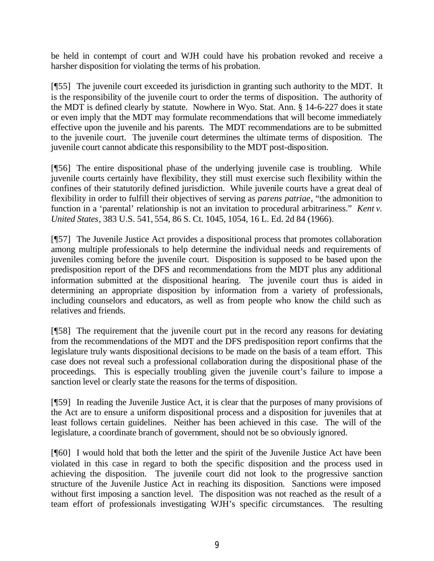be held in contempt of court and WJH could have his probation revoked and receive a harsher disposition for violating the terms of his probation.

[¶55] The juvenile court exceeded its jurisdiction in granting such authority to the MDT. It is the responsibility of the juvenile court to order the terms of disposition. The authority of the MDT is defined clearly by statute. Nowhere in Wyo. Stat. Ann. § 14-6-227 does it state or even imply that the MDT may formulate recommendations that will become immediately effective upon the juvenile and his parents. The MDT recommendations are to be submitted to the juvenile court. The juvenile court determines the ultimate terms of disposition. The juvenile court cannot abdicate this responsibility to the MDT post-disposition.

[¶56] The entire dispositional phase of the underlying juvenile case is troubling. While juvenile courts certainly have flexibility, they still must exercise such flexibility within the confines of their statutorily defined jurisdiction. While juvenile courts have a great deal of flexibility in order to fulfill their objectives of serving as *parens patriae*, "the admonition to function in a 'parental' relationship is not an invitation to procedural arbitrariness." *Kent v. United States*, 383 U.S. 541, 554, 86 S. Ct. 1045, 1054, 16 L. Ed. 2d 84 (1966).

[¶57] The Juvenile Justice Act provides a dispositional process that promotes collaboration among multiple professionals to help determine the individual needs and requirements of juveniles coming before the juvenile court. Disposition is supposed to be based upon the predisposition report of the DFS and recommendations from the MDT plus any additional information submitted at the dispositional hearing. The juvenile court thus is aided in determining an appropriate disposition by information from a variety of professionals, including counselors and educators, as well as from people who know the child such as relatives and friends.

[¶58] The requirement that the juvenile court put in the record any reasons for deviating from the recommendations of the MDT and the DFS predisposition report confirms that the legislature truly wants dispositional decisions to be made on the basis of a team effort. This case does not reveal such a professional collaboration during the dispositional phase of the proceedings. This is especially troubling given the juvenile court's failure to impose a sanction level or clearly state the reasons for the terms of disposition.

[¶59] In reading the Juvenile Justice Act, it is clear that the purposes of many provisions of the Act are to ensure a uniform dispositional process and a disposition for juveniles that at least follows certain guidelines. Neither has been achieved in this case. The will of the legislature, a coordinate branch of government, should not be so obviously ignored.

[¶60] I would hold that both the letter and the spirit of the Juvenile Justice Act have been violated in this case in regard to both the specific disposition and the process used in achieving the disposition. The juvenile court did not look to the progressive sanction structure of the Juvenile Justice Act in reaching its disposition. Sanctions were imposed without first imposing a sanction level. The disposition was not reached as the result of a team effort of professionals investigating WJH's specific circumstances. The resulting